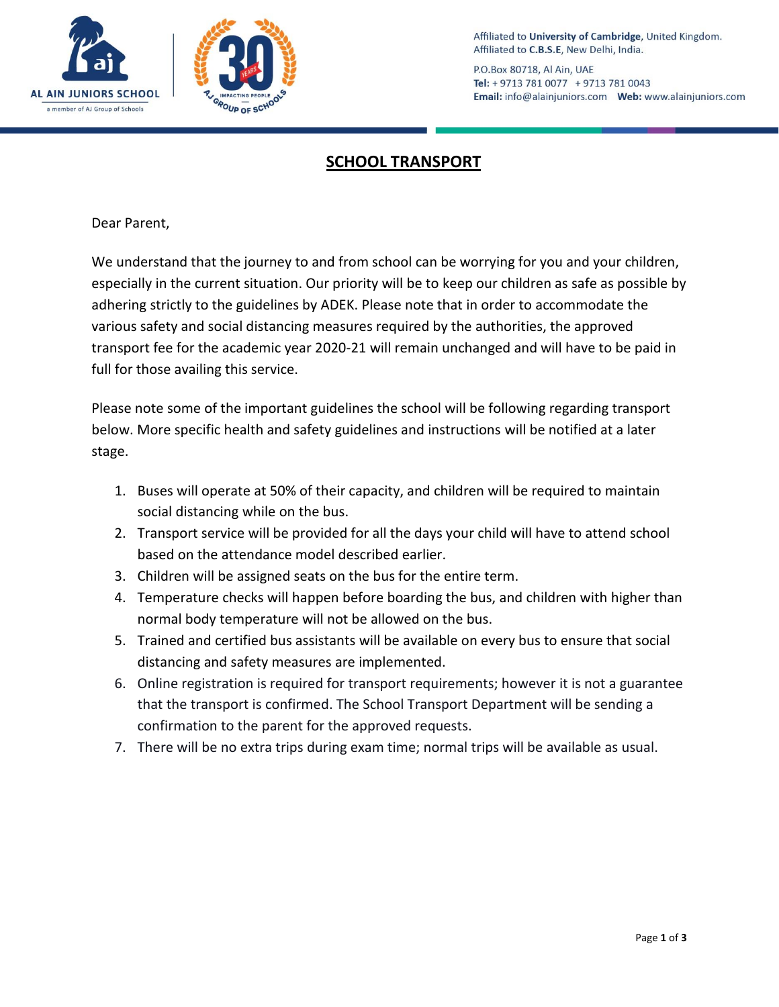

POUP OF SCH

Affiliated to University of Cambridge, United Kingdom. Affiliated to C.B.S.E, New Delhi, India.

P.O.Box 80718, Al Ain, UAE Tel: + 9713 781 0077 + 9713 781 0043 

## **SCHOOL TRANSPORT**

Dear Parent,

We understand that the journey to and from school can be worrying for you and your children, especially in the current situation. Our priority will be to keep our children as safe as possible by adhering strictly to the guidelines by ADEK. Please note that in order to accommodate the various safety and social distancing measures required by the authorities, the approved transport fee for the academic year 2020-21 will remain unchanged and will have to be paid in full for those availing this service.

Please note some of the important guidelines the school will be following regarding transport below. More specific health and safety guidelines and instructions will be notified at a later stage.

- 1. Buses will operate at 50% of their capacity, and children will be required to maintain social distancing while on the bus.
- 2. Transport service will be provided for all the days your child will have to attend school based on the attendance model described earlier.
- 3. Children will be assigned seats on the bus for the entire term.
- 4. Temperature checks will happen before boarding the bus, and children with higher than normal body temperature will not be allowed on the bus.
- 5. Trained and certified bus assistants will be available on every bus to ensure that social distancing and safety measures are implemented.
- 6. Online registration is required for transport requirements; however it is not a guarantee that the transport is confirmed. The School Transport Department will be sending a confirmation to the parent for the approved requests.
- 7. There will be no extra trips during exam time; normal trips will be available as usual.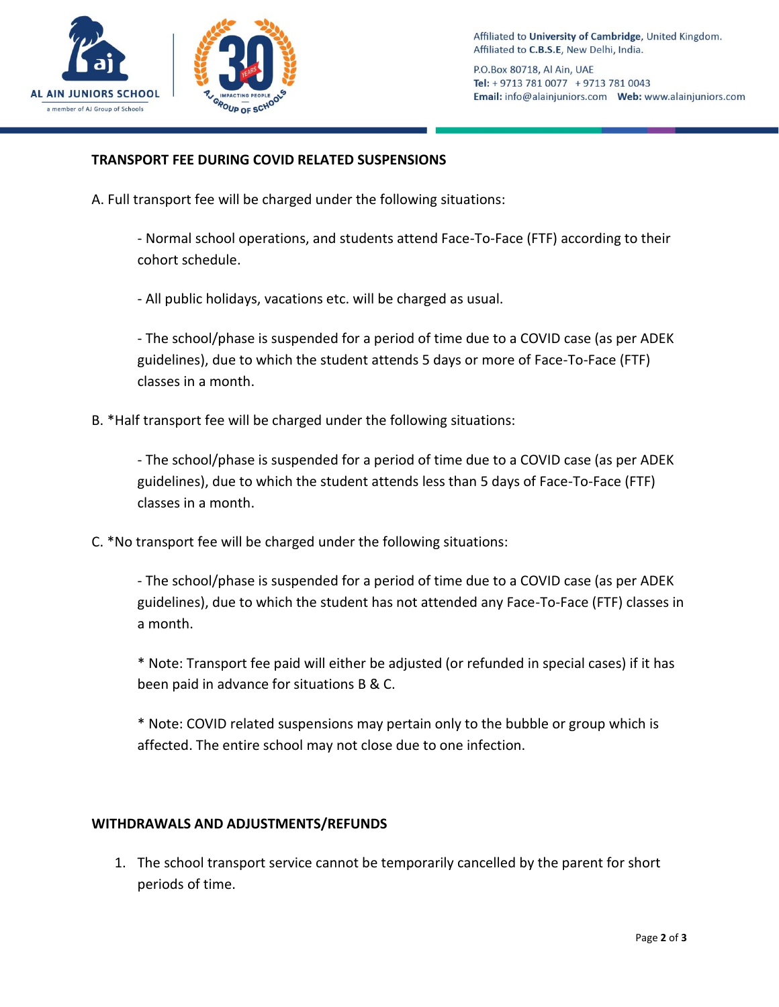

P.O.Box 80718, Al Ain, UAE Tel: + 9713 781 0077 + 9713 781 0043 

## **TRANSPORT FEE DURING COVID RELATED SUSPENSIONS**

A. Full transport fee will be charged under the following situations:

- Normal school operations, and students attend Face-To-Face (FTF) according to their cohort schedule.

- All public holidays, vacations etc. will be charged as usual.

- The school/phase is suspended for a period of time due to a COVID case (as per ADEK guidelines), due to which the student attends 5 days or more of Face-To-Face (FTF) classes in a month.

B. \*Half transport fee will be charged under the following situations:

- The school/phase is suspended for a period of time due to a COVID case (as per ADEK guidelines), due to which the student attends less than 5 days of Face-To-Face (FTF) classes in a month.

C. \*No transport fee will be charged under the following situations:

- The school/phase is suspended for a period of time due to a COVID case (as per ADEK guidelines), due to which the student has not attended any Face-To-Face (FTF) classes in a month.

\* Note: Transport fee paid will either be adjusted (or refunded in special cases) if it has been paid in advance for situations B & C.

\* Note: COVID related suspensions may pertain only to the bubble or group which is affected. The entire school may not close due to one infection.

## **WITHDRAWALS AND ADJUSTMENTS/REFUNDS**

1. The school transport service cannot be temporarily cancelled by the parent for short periods of time.